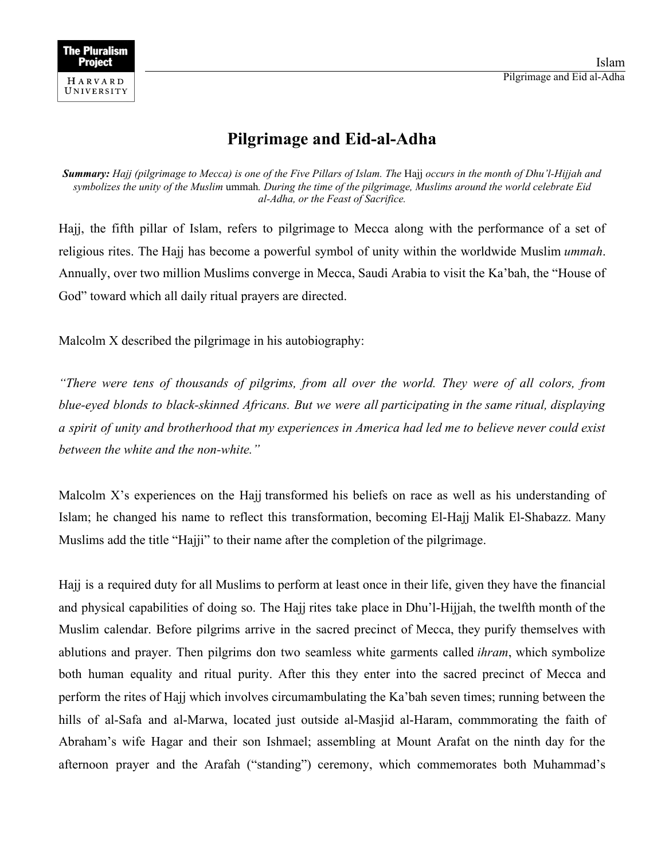

## **Pilgrimage and Eid-al-Adha**

**Summary:** Hajj (pilgrimage to Mecca) is one of the Five Pillars of Islam. The Hajj occurs in the month of Dhu'l-Hijjah and symbolizes the unity of the Muslim ummah. During the time of the pilgrimage, Muslims around the world celebrate Eid *al-Adha, or the Feast of Sacrifice.*

Hajj, the fifth pillar of Islam, refers to pilgrimage to Mecca along with the performance of a set of religious rites. The Hajj has become a powerful symbol of unity within the worldwide Muslim *ummah*. Annually, over two million Muslims converge in Mecca, Saudi Arabia to visit the Ka'bah, the "House of God" toward which all daily ritual prayers are directed.

Malcolm X described the pilgrimage in his autobiography:

*"There were tens of thousands of pilgrims, from all over the world. They were of all colors, from blue-eyed blonds to black-skinned Africans. But we were all participating in the same ritual, displaying* a spirit of unity and brotherhood that my experiences in America had led me to believe never could exist *between the white and the non-white."*

Malcolm X's experiences on the Hajj transformed his beliefs on race as well as his understanding of Islam; he changed his name to reflect this transformation, becoming El-Hajj Malik El-Shabazz. Many Muslims add the title "Hajji" to their name after the completion of the pilgrimage.

Hajj is a required duty for all Muslims to perform at least once in their life, given they have the financial and physical capabilities of doing so. The Hajj rites take place in Dhu'l-Hijjah, the twelfth month of the Muslim calendar. Before pilgrims arrive in the sacred precinct of Mecca, they purify themselves with ablutions and prayer. Then pilgrims don two seamless white garments called *ihram*, which symbolize both human equality and ritual purity. After this they enter into the sacred precinct of Mecca and perform the rites of Hajj which involves circumambulating the Ka'bah seven times; running between the hills of al-Safa and al-Marwa, located just outside al-Masjid al-Haram, commmorating the faith of Abraham's wife Hagar and their son Ishmael; assembling at Mount Arafat on the ninth day for the afternoon prayer and the Arafah ("standing") ceremony, which commemorates both Muhammad's